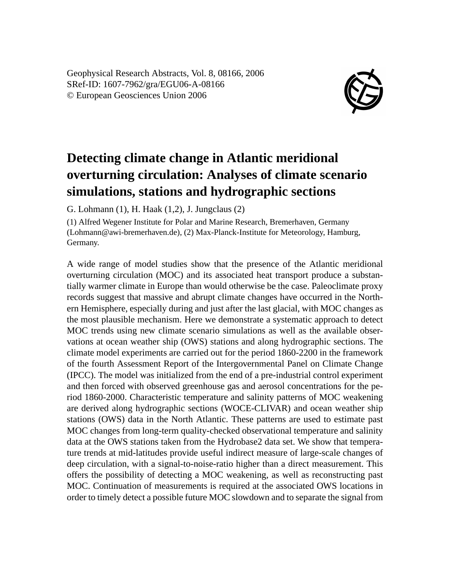Geophysical Research Abstracts, Vol. 8, 08166, 2006 SRef-ID: 1607-7962/gra/EGU06-A-08166 © European Geosciences Union 2006



## **Detecting climate change in Atlantic meridional overturning circulation: Analyses of climate scenario simulations, stations and hydrographic sections**

G. Lohmann (1), H. Haak (1,2), J. Jungclaus (2)

(1) Alfred Wegener Institute for Polar and Marine Research, Bremerhaven, Germany (Lohmann@awi-bremerhaven.de), (2) Max-Planck-Institute for Meteorology, Hamburg, Germany.

A wide range of model studies show that the presence of the Atlantic meridional overturning circulation (MOC) and its associated heat transport produce a substantially warmer climate in Europe than would otherwise be the case. Paleoclimate proxy records suggest that massive and abrupt climate changes have occurred in the Northern Hemisphere, especially during and just after the last glacial, with MOC changes as the most plausible mechanism. Here we demonstrate a systematic approach to detect MOC trends using new climate scenario simulations as well as the available observations at ocean weather ship (OWS) stations and along hydrographic sections. The climate model experiments are carried out for the period 1860-2200 in the framework of the fourth Assessment Report of the Intergovernmental Panel on Climate Change (IPCC). The model was initialized from the end of a pre-industrial control experiment and then forced with observed greenhouse gas and aerosol concentrations for the period 1860-2000. Characteristic temperature and salinity patterns of MOC weakening are derived along hydrographic sections (WOCE-CLIVAR) and ocean weather ship stations (OWS) data in the North Atlantic. These patterns are used to estimate past MOC changes from long-term quality-checked observational temperature and salinity data at the OWS stations taken from the Hydrobase2 data set. We show that temperature trends at mid-latitudes provide useful indirect measure of large-scale changes of deep circulation, with a signal-to-noise-ratio higher than a direct measurement. This offers the possibility of detecting a MOC weakening, as well as reconstructing past MOC. Continuation of measurements is required at the associated OWS locations in order to timely detect a possible future MOC slowdown and to separate the signal from